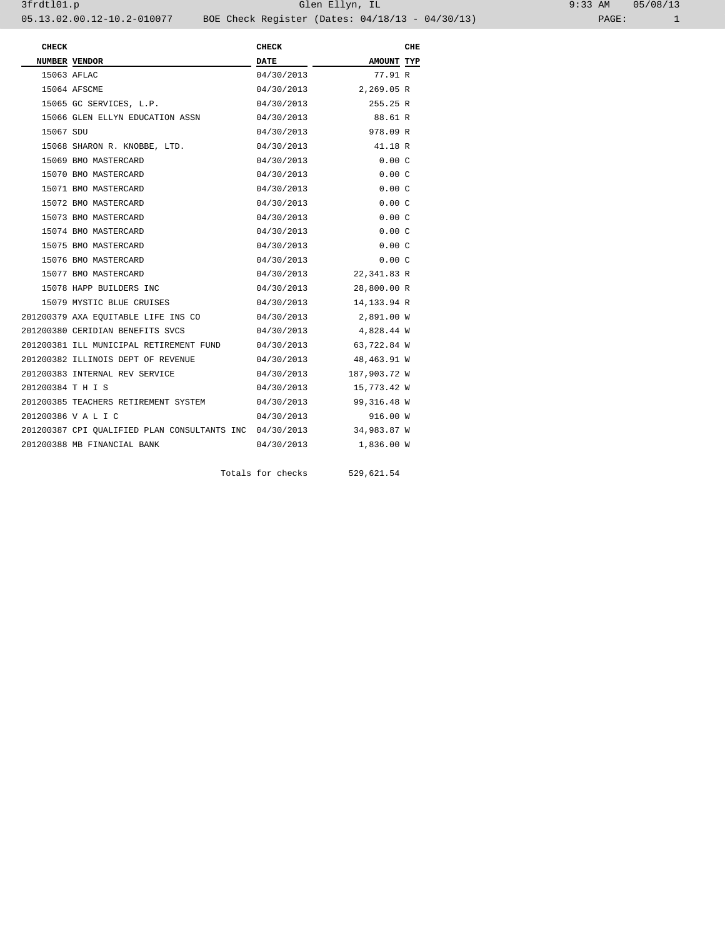| $9:33$ AM |       | 05/08/13 |
|-----------|-------|----------|
|           | PAGE: |          |

| <b>CHECK</b>      |                                              | <b>CHECK</b> |              | CHE |
|-------------------|----------------------------------------------|--------------|--------------|-----|
|                   | NUMBER VENDOR                                | DATE         | AMOUNT TYP   |     |
|                   | 15063 AFLAC                                  | 04/30/2013   | 77.91 R      |     |
|                   | 15064 AFSCME                                 | 04/30/2013   | 2,269.05 R   |     |
|                   | 15065 GC SERVICES, L.P.                      | 04/30/2013   | 255.25 R     |     |
|                   | 15066 GLEN ELLYN EDUCATION ASSN              | 04/30/2013   | 88.61 R      |     |
| 15067 SDU         |                                              | 04/30/2013   | 978.09 R     |     |
|                   | 15068 SHARON R. KNOBBE, LTD.                 | 04/30/2013   | 41.18 R      |     |
|                   | 15069 BMO MASTERCARD                         | 04/30/2013   | 0.00C        |     |
|                   | 15070 BMO MASTERCARD                         | 04/30/2013   | 0.00C        |     |
|                   | 15071 BMO MASTERCARD                         | 04/30/2013   | 0.00C        |     |
|                   | 15072 BMO MASTERCARD                         | 04/30/2013   | 0.00C        |     |
|                   | 15073 BMO MASTERCARD                         | 04/30/2013   | 0.00C        |     |
|                   | 15074 BMO MASTERCARD                         | 04/30/2013   | 0.00C        |     |
|                   | 15075 BMO MASTERCARD                         | 04/30/2013   | 0.00C        |     |
|                   | 15076 BMO MASTERCARD                         | 04/30/2013   | 0.00C        |     |
|                   | 15077 BMO MASTERCARD                         | 04/30/2013   | 22,341.83 R  |     |
|                   | 15078 HAPP BUILDERS INC                      | 04/30/2013   | 28,800.00 R  |     |
|                   | 15079 MYSTIC BLUE CRUISES                    | 04/30/2013   | 14,133.94 R  |     |
|                   | 201200379 AXA EQUITABLE LIFE INS CO          | 04/30/2013   | 2,891.00 W   |     |
|                   | 201200380 CERIDIAN BENEFITS SVCS             | 04/30/2013   | 4,828.44 W   |     |
|                   | 201200381 ILL MUNICIPAL RETIREMENT FUND      | 04/30/2013   | 63,722.84 W  |     |
|                   | 201200382 ILLINOIS DEPT OF REVENUE           | 04/30/2013   | 48,463.91 W  |     |
|                   | 201200383 INTERNAL REV SERVICE               | 04/30/2013   | 187,903.72 W |     |
| 201200384 T H I S |                                              | 04/30/2013   | 15,773.42 W  |     |
|                   | 201200385 TEACHERS RETIREMENT SYSTEM         | 04/30/2013   | 99,316.48 W  |     |
|                   | 201200386 V A L I C                          | 04/30/2013   | 916.00 W     |     |
|                   | 201200387 CPI QUALIFIED PLAN CONSULTANTS INC | 04/30/2013   | 34,983.87 W  |     |
|                   | 201200388 MB FINANCIAL BANK                  | 04/30/2013   | 1,836.00 W   |     |
|                   |                                              |              |              |     |

Totals for checks 529,621.54